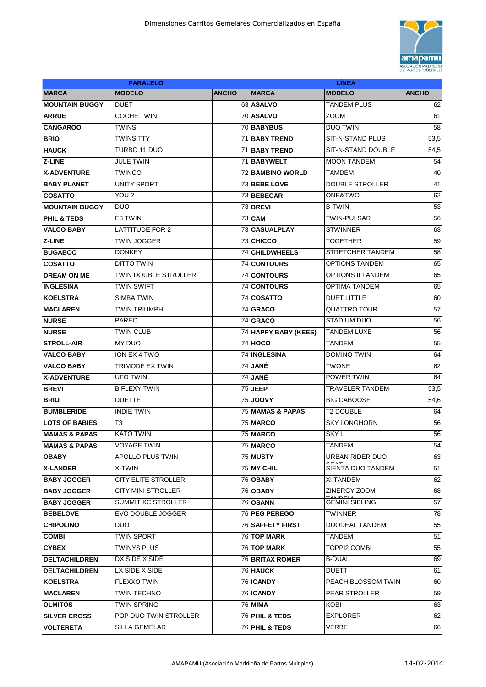

| <b>PARALELO</b>           |                             |              | <b>LINEA</b>              |                          |              |  |
|---------------------------|-----------------------------|--------------|---------------------------|--------------------------|--------------|--|
| <b>MARCA</b>              | <b>MODELO</b>               | <b>ANCHO</b> | <b>MARCA</b>              | <b>MODELO</b>            | <b>ANCHO</b> |  |
| <b>MOUNTAIN BUGGY</b>     | <b>DUET</b>                 |              | 63 ASALVO                 | <b>TANDEM PLUS</b>       | 62           |  |
| <b>ARRUE</b>              | <b>COCHE TWIN</b>           |              | 70 ASALVO                 | ZOOM                     | 61           |  |
| <b>CANGAROO</b>           | <b>TWINS</b>                |              | 70 BABYBUS                | <b>DUO TWIN</b>          | 58           |  |
| <b>BRIO</b>               | <b>TWINSITTY</b>            |              | 71 BABY TREND             | SIT-N-STAND PLUS         | 53,5         |  |
| <b>HAUCK</b>              | TURBO 11 DUO                |              | 71 BABY TREND             | SIT-N-STAND DOUBLE       | 54,5         |  |
| <b>Z-LINE</b>             | <b>JULE TWIN</b>            |              | 71 BABYWELT               | <b>MOON TANDEM</b>       | 54           |  |
| <b>X-ADVENTURE</b>        | <b>TWINCO</b>               |              | <b>72 BAMBINO WORLD</b>   | <b>TAMDEM</b>            | 40           |  |
| <b>BABY PLANET</b>        | <b>UNITY SPORT</b>          |              | <b>73 BEBE LOVE</b>       | <b>DOUBLE STROLLER</b>   | 41           |  |
| <b>COSATTO</b>            | YOU <sub>2</sub>            |              | 73 BEBECAR                | ONE&TWO                  | 62           |  |
| <b>MOUNTAIN BUGGY</b>     | <b>DUO</b>                  |              | 73 BREVI                  | <b>B-TWIN</b>            | 53           |  |
| <b>PHIL &amp; TEDS</b>    | E3 TWIN                     |              | <b>73 CAM</b>             | <b>TWIN-PULSAR</b>       | 56           |  |
| <b>VALCO BABY</b>         | <b>LATTITUDE FOR 2</b>      |              | 73 CASUALPLAY             | <b>STWINNER</b>          | 63           |  |
| <b>Z-LINE</b>             | <b>TWIN JOGGER</b>          |              | 73 CHICCO                 | <b>TOGETHER</b>          | 59           |  |
| <b>BUGABOO</b>            | <b>DONKEY</b>               |              | 74 CHILDWHEELS            | STRETCHER TANDEM         | 58           |  |
| <b>COSATTO</b>            | <b>DITTO TWIN</b>           |              | 74 CONTOURS               | <b>OPTIONS TANDEM</b>    | 65           |  |
| <b>DREAM ON ME</b>        | <b>TWIN DOUBLE STROLLER</b> |              | 74 CONTOURS               | <b>OPTIONS II TANDEM</b> | 65           |  |
| <b>INGLESINA</b>          | <b>TWIN SWIFT</b>           |              | 74 CONTOURS               | <b>OPTIMA TANDEM</b>     | 65           |  |
| <b>KOELSTRA</b>           | <b>SIMBA TWIN</b>           |              | 74 COSATTO                | <b>DUET LITTLE</b>       | 60           |  |
| <b>MACLAREN</b>           | <b>TWIN TRIUMPH</b>         |              | 74 GRACO                  | QUATTRO TOUR             | 57           |  |
| <b>NURSE</b>              | <b>PAREO</b>                |              | 74 GRACO                  | <b>STADIUM DUO</b>       | 56           |  |
| <b>NURSE</b>              | TWIN CLUB                   |              | 74 HAPPY BABY (KEES)      | <b>TANDEM LUXE</b>       | 56           |  |
| <b>STROLL-AIR</b>         | <b>MY DUO</b>               |              | <b>74 HOCO</b>            | <b>TANDEM</b>            | 55           |  |
| <b>VALCO BABY</b>         | ION EX 4 TWO                |              | <b>74 INGLESINA</b>       | <b>DOMINO TWIN</b>       | 64           |  |
| <b>VALCO BABY</b>         | TRIMODE EX TWIN             |              | 74 JANÉ                   | TWONE                    | 62           |  |
| <b>X-ADVENTURE</b>        | <b>UFO TWIN</b>             |              | 74 JANÉ                   | POWER TWIN               | 64           |  |
| <b>BREVI</b>              | <b>B FLEXY TWIN</b>         |              | <b>75 JEEP</b>            | TRAVELER TANDEM          | 53,5         |  |
| <b>BRIO</b>               | <b>DUETTE</b>               |              | 75 <b>JOOVY</b>           | <b>BIG CABOOSE</b>       | 54,6         |  |
| <b>BUMBLERIDE</b>         | <b>INDIE TWIN</b>           |              | 75 MAMAS & PAPAS          | <b>T2 DOUBLE</b>         | 64           |  |
| <b>LOTS OF BABIES</b>     | T3                          |              | 75 MARCO                  | <b>SKY LONGHORN</b>      | 56           |  |
| <b>IMAMAS &amp; PAPAS</b> | <b>KATO TWIN</b>            |              | 75 MARCO                  | <b>SKYL</b>              | 56           |  |
| <b>MAMAS &amp; PAPAS</b>  | <b>VOYAGE TWIN</b>          |              | 75 MARCO                  | <b>TANDEM</b>            | 54           |  |
| <b>OBABY</b>              | APOLLO PLUS TWIN            |              | 75 MUSTY                  | <b>URBAN RIDER DUO</b>   | 63           |  |
| <b>X-LANDER</b>           | X-TWIN                      |              | 75 MY CHIL                | SIENTA DUO TANDEM        | 51           |  |
| <b>BABY JOGGER</b>        | <b>CITY ELITE STROLLER</b>  |              | 76 OBABY                  | XI TANDEM                | 62           |  |
| <b>BABY JOGGER</b>        | <b>CITY MINI STROLLER</b>   |              | 76 OBABY                  | ZINERGY ZOOM             | 68           |  |
| <b>BABY JOGGER</b>        | <b>SUMMIT XC STROLLER</b>   |              | 76 OSANN                  | <b>GEMINI SIBLING</b>    | 57           |  |
| <b>BEBELOVE</b>           | EVO DOUBLE JOGGER           |              | 76 PEG PEREGO             | TWINNER                  | 78           |  |
| <b>CHIPOLINO</b>          | <b>DUO</b>                  |              | 76 SAFFETY FIRST          | <b>DUODEAL TANDEM</b>    | 55           |  |
| <b>COMBI</b>              | <b>TWIN SPORT</b>           |              | <b>76 TOP MARK</b>        | <b>TANDEM</b>            | 51           |  |
| <b>CYBEX</b>              | <b>TWINYS PLUS</b>          |              | <b>76 TOP MARK</b>        | TOPPI2 COMBI             | 55           |  |
| DELTACHILDREN             | DX SIDE X SIDE              |              | <b>76 BRITAX ROMER</b>    | <b>B-DUAL</b>            | 69           |  |
| <b>DELTACHILDREN</b>      | LX SIDE X SIDE              |              | 76 HAUCK                  | DUETT                    | 61           |  |
| <b>KOELSTRA</b>           | FLEXXO TWIN                 |              | 76 ICANDY                 | PEACH BLOSSOM TWIN       | 60           |  |
| <b>MACLAREN</b>           | TWIN TECHNO                 |              | 76 ICANDY                 | PEAR STROLLER            | 59           |  |
| <b>OLMITOS</b>            | TWIN SPRING                 |              | 76 MIMA                   | KOBI                     | 63           |  |
| <b>SILVER CROSS</b>       | POP DUO TWIN STROLLER       |              | <b>76 PHIL &amp; TEDS</b> | <b>EXPLORER</b>          | 62           |  |
| <b>VOLTERETA</b>          | SILLA GEMELAR               |              | 76 PHIL & TEDS            | <b>VERBE</b>             | 66           |  |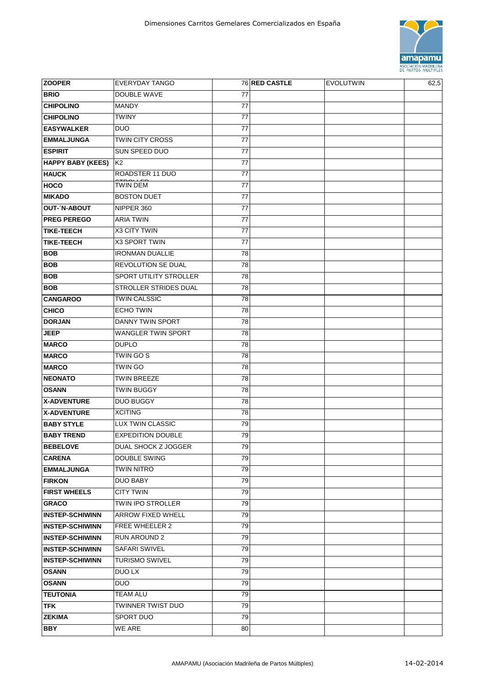

| <b>ZOOPER</b>            | <b>EVERYDAY TANGO</b>         |    | 76 RED CASTLE | <b>EVOLUTWIN</b> | 62,5 |
|--------------------------|-------------------------------|----|---------------|------------------|------|
| <b>BRIO</b>              | <b>DOUBLE WAVE</b>            | 77 |               |                  |      |
| <b>CHIPOLINO</b>         | <b>MANDY</b>                  | 77 |               |                  |      |
| <b>CHIPOLINO</b>         | <b>TWINY</b>                  | 77 |               |                  |      |
| <b>EASYWALKER</b>        | <b>DUO</b>                    | 77 |               |                  |      |
| <b>EMMALJUNGA</b>        | <b>TWIN CITY CROSS</b>        | 77 |               |                  |      |
| <b>ESPIRIT</b>           | SUN SPEED DUO                 | 77 |               |                  |      |
| <b>HAPPY BABY (KEES)</b> | K <sub>2</sub>                | 77 |               |                  |      |
| <b>HAUCK</b>             | ROADSTER 11 DUO               | 77 |               |                  |      |
| <b>HOCO</b>              | TWIN DEM                      | 77 |               |                  |      |
| <b>MIKADO</b>            | <b>BOSTON DUET</b>            | 77 |               |                  |      |
| <b>OUT-'N-ABOUT</b>      | NIPPER 360                    | 77 |               |                  |      |
| <b>PREG PEREGO</b>       | <b>ARIA TWIN</b>              | 77 |               |                  |      |
| <b>TIKE-TEECH</b>        | X3 CITY TWIN                  | 77 |               |                  |      |
| <b>TIKE-TEECH</b>        | X3 SPORT TWIN                 | 77 |               |                  |      |
| <b>BOB</b>               | <b>IRONMAN DUALLIE</b>        | 78 |               |                  |      |
| <b>BOB</b>               | <b>REVOLUTION SE DUAL</b>     | 78 |               |                  |      |
| <b>BOB</b>               | <b>SPORT UTILITY STROLLER</b> | 78 |               |                  |      |
| <b>BOB</b>               | STROLLER STRIDES DUAL         | 78 |               |                  |      |
| <b>CANGAROO</b>          | <b>TWIN CALSSIC</b>           | 78 |               |                  |      |
| <b>CHICO</b>             | <b>ECHO TWIN</b>              | 78 |               |                  |      |
| <b>DORJAN</b>            | DANNY TWIN SPORT              | 78 |               |                  |      |
| <b>JEEP</b>              | WANGLER TWIN SPORT            | 78 |               |                  |      |
| <b>MARCO</b>             | <b>DUPLO</b>                  | 78 |               |                  |      |
| <b>MARCO</b>             | TWIN GO S                     | 78 |               |                  |      |
| <b>MARCO</b>             | <b>TWIN GO</b>                | 78 |               |                  |      |
| <b>NEONATO</b>           | TWIN BREEZE                   | 78 |               |                  |      |
| <b>OSANN</b>             | <b>TWIN BUGGY</b>             | 78 |               |                  |      |
| <b>X-ADVENTURE</b>       | <b>DUO BUGGY</b>              | 78 |               |                  |      |
| <b>X-ADVENTURE</b>       | <b>XCITING</b>                | 78 |               |                  |      |
| <b>BABY STYLE</b>        | <b>LUX TWIN CLASSIC</b>       | 79 |               |                  |      |
| <b>BABY TREND</b>        | <b>EXPEDITION DOUBLE</b>      | 79 |               |                  |      |
| <b>BEBELOVE</b>          | <b>DUAL SHOCK Z JOGGER</b>    | 79 |               |                  |      |
| <b>CARENA</b>            | <b>DOUBLE SWING</b>           | 79 |               |                  |      |
| <b>EMMALJUNGA</b>        | <b>TWIN NITRO</b>             | 79 |               |                  |      |
| <b>FIRKON</b>            | <b>DUO BABY</b>               | 79 |               |                  |      |
| <b>FIRST WHEELS</b>      | <b>CITY TWIN</b>              | 79 |               |                  |      |
| <b>GRACO</b>             | TWIN IPO STROLLER             | 79 |               |                  |      |
| <b>INSTEP-SCHIWINN</b>   | <b>ARROW FIXED WHELL</b>      | 79 |               |                  |      |
| <b>INSTEP-SCHIWINN</b>   | FREE WHEELER 2                | 79 |               |                  |      |
| <b>INSTEP-SCHIWINN</b>   | <b>RUN AROUND 2</b>           | 79 |               |                  |      |
| <b>INSTEP-SCHIWINN</b>   | <b>SAFARI SWIVEL</b>          | 79 |               |                  |      |
| <b>INSTEP-SCHIWINN</b>   | <b>TURISMO SWIVEL</b>         | 79 |               |                  |      |
| <b>OSANN</b>             | DUO LX                        | 79 |               |                  |      |
| <b>OSANN</b>             | <b>DUO</b>                    | 79 |               |                  |      |
| <b>TEUTONIA</b>          | TEAM ALU                      | 79 |               |                  |      |
| <b>TFK</b>               | TWINNER TWIST DUO             | 79 |               |                  |      |
| <b>ZEKIMA</b>            | SPORT DUO                     | 79 |               |                  |      |
| <b>BBY</b>               | WE ARE                        | 80 |               |                  |      |